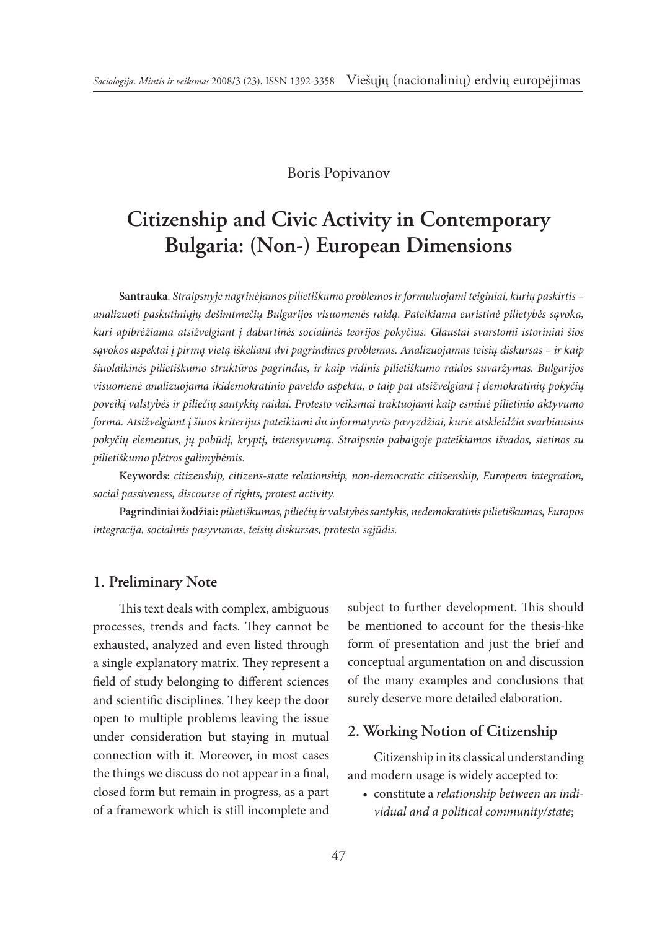### Boris Popivanov

# **Citizenship and Civic Activity in Contemporary Bulgaria: (Non-) European Dimensions**

**Santrauka***. Straipsnyje nagrinėjamos pilietiškumo problemos ir formuluojami teiginiai, kurių paskirtis – analizuoti paskutiniųjų dešimtmečių Bulgarijos visuomenės raidą. Pateikiama euristinė pilietybės sąvoka, kuri apibrėžiama atsižvelgiant į dabartinės socialinės teorijos pokyčius. Glaustai svarstomi istoriniai šios sąvokos aspektai į pirmą vietą iškeliant dvi pagrindines problemas. Analizuojamas teisių diskursas – ir kaip šiuolaikinės pilietiškumo struktūros pagrindas, ir kaip vidinis pilietiškumo raidos suvaržymas. Bulgarijos visuomenė analizuojama ikidemokratinio paveldo aspektu, o taip pat atsižvelgiant į demokratinių pokyčių poveikį valstybės ir piliečių santykių raidai. Protesto veiksmai traktuojami kaip esminė pilietinio aktyvumo forma. Atsižvelgiant į šiuos kriterijus pateikiami du informatyvūs pavyzdžiai, kurie atskleidžia svarbiausius pokyčių elementus, jų pobūdį, kryptį, intensyvumą. Straipsnio pabaigoje pateikiamos išvados, sietinos su pilietiškumo plėtros galimybėmis.*

**Keywords:** *citizenship, citizens-state relationship, non-democratic citizenship, European integration, social passiveness, discourse of rights, protest activity.*

**Pagrindiniai žodžiai:** *pilietiškumas, piliečių ir valstybės santykis, nedemokratinis pilietiškumas, Europos integracija, socialinis pasyvumas, teisių diskursas, protesto sąjūdis.*

#### **1. Preliminary Note**

This text deals with complex, ambiguous processes, trends and facts. They cannot be exhausted, analyzed and even listed through a single explanatory matrix. They represent a field of study belonging to different sciences and scientific disciplines. They keep the door open to multiple problems leaving the issue under consideration but staying in mutual connection with it. Moreover, in most cases the things we discuss do not appear in a final, closed form but remain in progress, as a part of a framework which is still incomplete and subject to further development. This should be mentioned to account for the thesis-like form of presentation and just the brief and conceptual argumentation on and discussion of the many examples and conclusions that surely deserve more detailed elaboration.

### **2. Working Notion of Citizenship**

Citizenship in its classical understanding and modern usage is widely accepted to:

• constitute a *relationship between an individual and a political community/state*;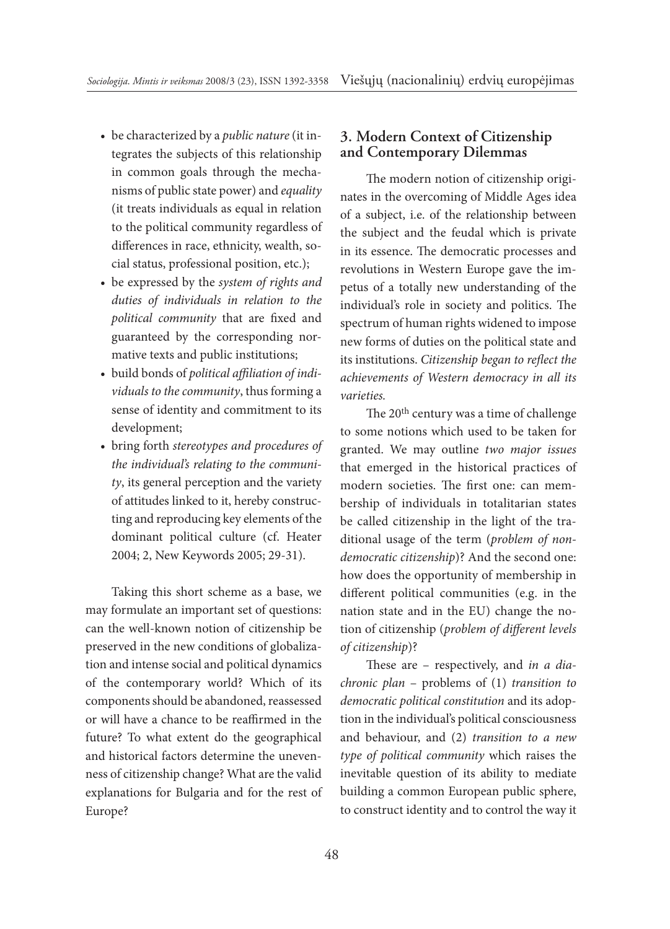- be characterized by a *public nature* (it integrates the subjects of this relationship in common goals through the mechanisms of public state power) and *equality* (it treats individuals as equal in relation to the political community regardless of differences in race, ethnicity, wealth, social status, professional position, etc.);
- be expressed by the *system of rights and duties of individuals in relation to the political community* that are fixed and guaranteed by the corresponding normative texts and public institutions;
- build bonds of *political affiliation of individuals to the community*, thus forming a sense of identity and commitment to its development;
- bring forth *stereotypes and procedures of the individual's relating to the community*, its general perception and the variety of attitudes linked to it, hereby constructing and reproducing key elements of the dominant political culture (cf. Heater 2004; 2, New Keywords 2005; 29-31).

Taking this short scheme as a base, we may formulate an important set of questions: can the well-known notion of citizenship be preserved in the new conditions of globalization and intense social and political dynamics of the contemporary world? Which of its components should be abandoned, reassessed or will have a chance to be reaffirmed in the future? To what extent do the geographical and historical factors determine the unevenness of citizenship change? What are the valid explanations for Bulgaria and for the rest of Europe?

## **3. Modern Context of Citizenship and Contemporary Dilemmas**

The modern notion of citizenship originates in the overcoming of Middle Ages idea of a subject, i.e. of the relationship between the subject and the feudal which is private in its essence. The democratic processes and revolutions in Western Europe gave the impetus of a totally new understanding of the individual's role in society and politics. The spectrum of human rights widened to impose new forms of duties on the political state and its institutions. *Citizenship began to reflect the achievements of Western democracy in all its varieties.*

The 20th century was a time of challenge to some notions which used to be taken for granted. We may outline *two major issues* that emerged in the historical practices of modern societies. The first one: can membership of individuals in totalitarian states be called citizenship in the light of the traditional usage of the term (*problem of nondemocratic citizenship*)? And the second one: how does the opportunity of membership in different political communities (e.g. in the nation state and in the EU) change the notion of citizenship (*problem of different levels of citizenship*)?

These are – respectively, and *in a diachronic plan* – problems of (1) *transition to democratic political constitution* and its adoption in the individual's political consciousness and behaviour, and (2) *transition to a new type of political community* which raises the inevitable question of its ability to mediate building a common European public sphere, to construct identity and to control the way it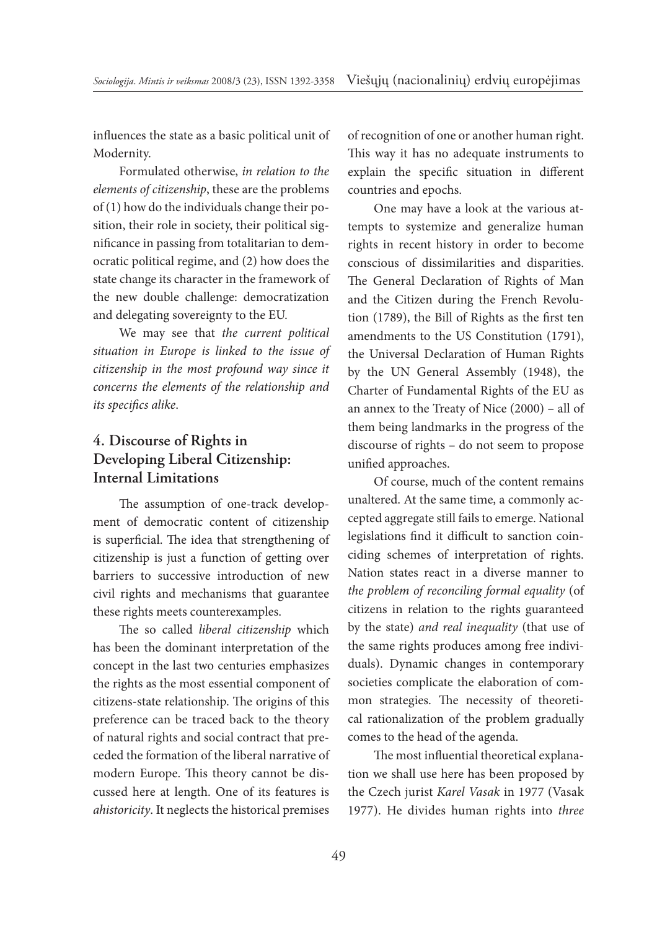influences the state as a basic political unit of Modernity.

Formulated otherwise, *in relation to the elements of citizenship*, these are the problems of (1) how do the individuals change their position, their role in society, their political significance in passing from totalitarian to democratic political regime, and (2) how does the state change its character in the framework of the new double challenge: democratization and delegating sovereignty to the EU.

We may see that *the current political situation in Europe is linked to the issue of citizenship in the most profound way since it concerns the elements of the relationship and its specifics alike*.

# **4. Discourse of Rights in Developing Liberal Citizenship: Internal Limitations**

The assumption of one-track development of democratic content of citizenship is superficial. The idea that strengthening of citizenship is just a function of getting over barriers to successive introduction of new civil rights and mechanisms that guarantee these rights meets counterexamples.

The so called *liberal citizenship* which has been the dominant interpretation of the concept in the last two centuries emphasizes the rights as the most essential component of citizens-state relationship. The origins of this preference can be traced back to the theory of natural rights and social contract that preceded the formation of the liberal narrative of modern Europe. This theory cannot be discussed here at length. One of its features is *ahistoricity*. It neglects the historical premises of recognition of one or another human right. This way it has no adequate instruments to explain the specific situation in different countries and epochs.

One may have a look at the various attempts to systemize and generalize human rights in recent history in order to become conscious of dissimilarities and disparities. The General Declaration of Rights of Man and the Citizen during the French Revolution (1789), the Bill of Rights as the first ten amendments to the US Constitution (1791), the Universal Declaration of Human Rights by the UN General Assembly (1948), the Charter of Fundamental Rights of the EU as an annex to the Treaty of Nice (2000) – all of them being landmarks in the progress of the discourse of rights – do not seem to propose unified approaches.

Of course, much of the content remains unaltered. At the same time, a commonly accepted aggregate still fails to emerge. National legislations find it difficult to sanction coinciding schemes of interpretation of rights. Nation states react in a diverse manner to *the problem of reconciling formal equality* (of citizens in relation to the rights guaranteed by the state) *and real inequality* (that use of the same rights produces among free individuals). Dynamic changes in contemporary societies complicate the elaboration of common strategies. The necessity of theoretical rationalization of the problem gradually comes to the head of the agenda.

The most influential theoretical explanation we shall use here has been proposed by the Czech jurist *Karel Vasak* in 1977 (Vasak 1977). He divides human rights into *three*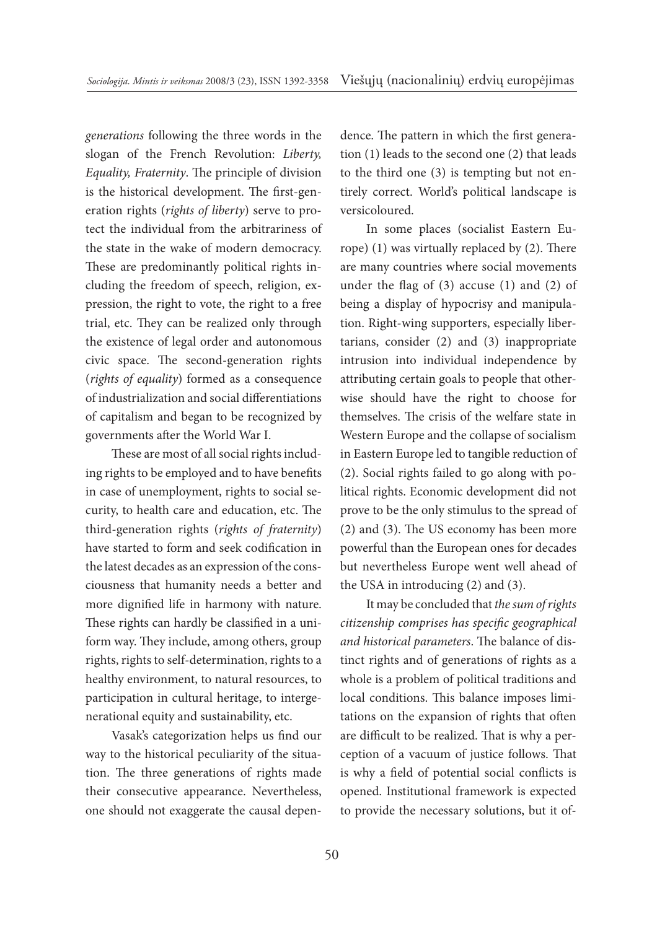*generations* following the three words in the slogan of the French Revolution: *Liberty, Equality, Fraternity*. The principle of division is the historical development. The first-generation rights (*rights of liberty*) serve to protect the individual from the arbitrariness of the state in the wake of modern democracy. These are predominantly political rights including the freedom of speech, religion, expression, the right to vote, the right to a free trial, etc. They can be realized only through the existence of legal order and autonomous civic space. The second-generation rights (*rights of equality*) formed as a consequence of industrialization and social differentiations of capitalism and began to be recognized by governments after the World War I.

These are most of all social rights including rights to be employed and to have benefits in case of unemployment, rights to social security, to health care and education, etc. The third-generation rights (*rights of fraternity*) have started to form and seek codification in the latest decades as an expression of the consciousness that humanity needs a better and more dignified life in harmony with nature. These rights can hardly be classified in a uniform way. They include, among others, group rights, rights to self-determination, rights to a healthy environment, to natural resources, to participation in cultural heritage, to intergenerational equity and sustainability, etc.

Vasak's categorization helps us find our way to the historical peculiarity of the situation. The three generations of rights made their consecutive appearance. Nevertheless, one should not exaggerate the causal dependence. The pattern in which the first generation (1) leads to the second one (2) that leads to the third one (3) is tempting but not entirely correct. World's political landscape is versicoloured.

In some places (socialist Eastern Europe) (1) was virtually replaced by (2). There are many countries where social movements under the flag of  $(3)$  accuse  $(1)$  and  $(2)$  of being a display of hypocrisy and manipulation. Right-wing supporters, especially libertarians, consider (2) and (3) inappropriate intrusion into individual independence by attributing certain goals to people that otherwise should have the right to choose for themselves. The crisis of the welfare state in Western Europe and the collapse of socialism in Eastern Europe led to tangible reduction of (2). Social rights failed to go along with political rights. Economic development did not prove to be the only stimulus to the spread of (2) and (3). The US economy has been more powerful than the European ones for decades but nevertheless Europe went well ahead of the USA in introducing (2) and (3).

It may be concluded that *the sum of rights citizenship comprises has specific geographical and historical parameters*. The balance of distinct rights and of generations of rights as a whole is a problem of political traditions and local conditions. This balance imposes limitations on the expansion of rights that often are difficult to be realized. That is why a perception of a vacuum of justice follows. That is why a field of potential social conflicts is opened. Institutional framework is expected to provide the necessary solutions, but it of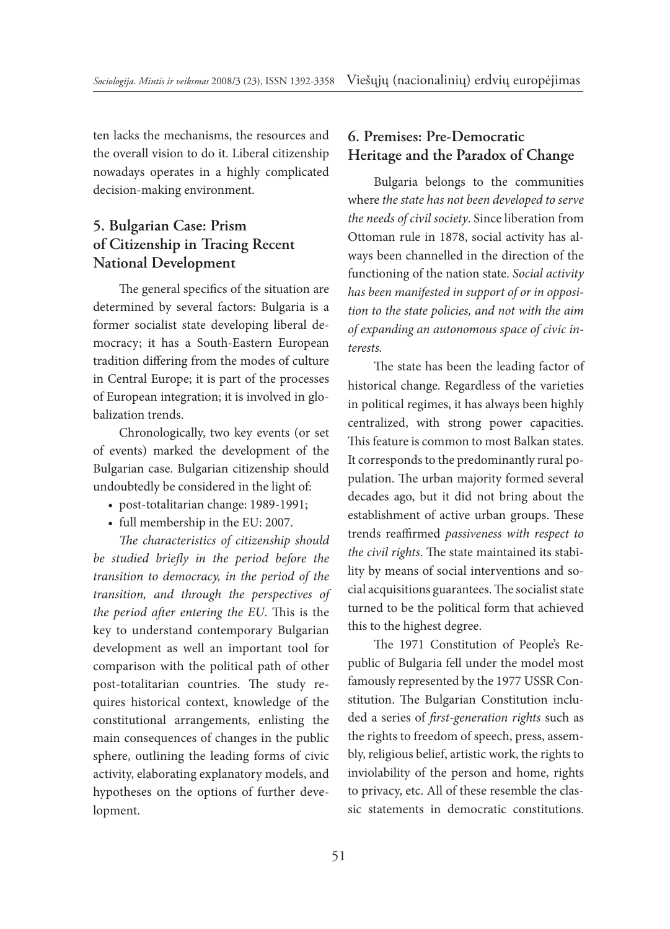ten lacks the mechanisms, the resources and the overall vision to do it. Liberal citizenship nowadays operates in a highly complicated decision-making environment.

# **5. Bulgarian Case: Prism of Citizenship in Tracing Recent National Development**

The general specifics of the situation are determined by several factors: Bulgaria is a former socialist state developing liberal democracy; it has a South-Eastern European tradition differing from the modes of culture in Central Europe; it is part of the processes of European integration; it is involved in globalization trends.

Chronologically, two key events (or set of events) marked the development of the Bulgarian case. Bulgarian citizenship should undoubtedly be considered in the light of:

- post-totalitarian change: 1989-1991;
- full membership in the EU: 2007.

*The characteristics of citizenship should be studied briefly in the period before the transition to democracy, in the period of the transition, and through the perspectives of the period after entering the EU*. This is the key to understand contemporary Bulgarian development as well an important tool for comparison with the political path of other post-totalitarian countries. The study requires historical context, knowledge of the constitutional arrangements, enlisting the main consequences of changes in the public sphere, outlining the leading forms of civic activity, elaborating explanatory models, and hypotheses on the options of further development.

# **6. Premises: Pre-Democratic Heritage and the Paradox of Change**

Bulgaria belongs to the communities where *the state has not been developed to serve the needs of civil society*. Since liberation from Ottoman rule in 1878, social activity has always been channelled in the direction of the functioning of the nation state. *Social activity has been manifested in support of or in opposition to the state policies, and not with the aim of expanding an autonomous space of civic interests.*

The state has been the leading factor of historical change. Regardless of the varieties in political regimes, it has always been highly centralized, with strong power capacities. This feature is common to most Balkan states. It corresponds to the predominantly rural population. The urban majority formed several decades ago, but it did not bring about the establishment of active urban groups. These trends reaffirmed *passiveness with respect to the civil rights*. The state maintained its stability by means of social interventions and social acquisitions guarantees. The socialist state turned to be the political form that achieved this to the highest degree.

The 1971 Constitution of People's Republic of Bulgaria fell under the model most famously represented by the 1977 USSR Constitution. The Bulgarian Constitution included a series of *first-generation rights* such as the rights to freedom of speech, press, assembly, religious belief, artistic work, the rights to inviolability of the person and home, rights to privacy, etc. All of these resemble the classic statements in democratic constitutions.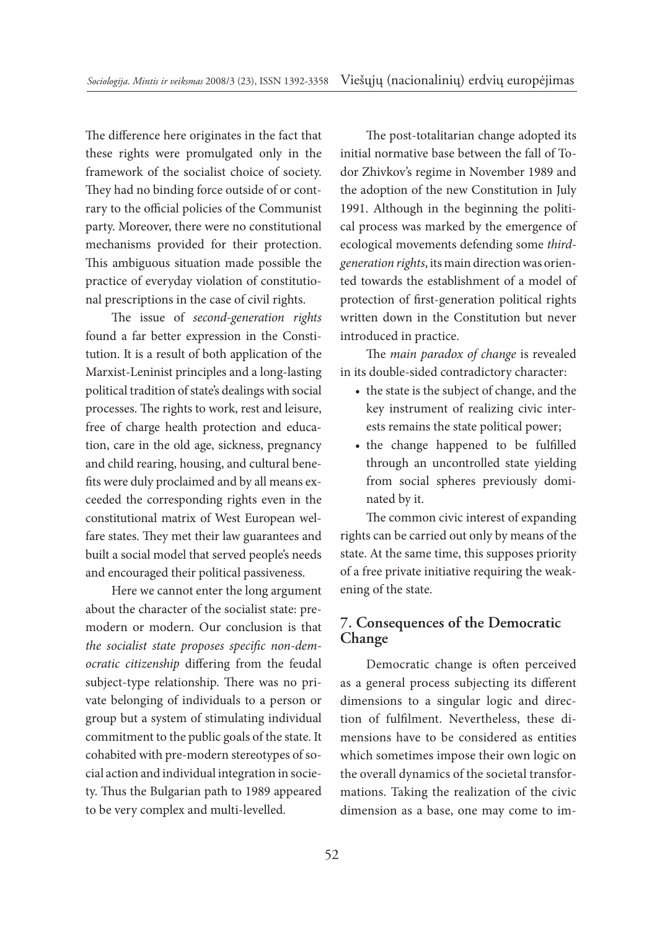The difference here originates in the fact that these rights were promulgated only in the framework of the socialist choice of society. They had no binding force outside of or contrary to the official policies of the Communist party. Moreover, there were no constitutional mechanisms provided for their protection. This ambiguous situation made possible the practice of everyday violation of constitutional prescriptions in the case of civil rights.

The issue of *second-generation rights* found a far better expression in the Constitution. It is a result of both application of the Marxist-Leninist principles and a long-lasting political tradition of state's dealings with social processes. The rights to work, rest and leisure, free of charge health protection and education, care in the old age, sickness, pregnancy and child rearing, housing, and cultural benefits were duly proclaimed and by all means exceeded the corresponding rights even in the constitutional matrix of West European welfare states. They met their law guarantees and built a social model that served people's needs and encouraged their political passiveness.

Here we cannot enter the long argument about the character of the socialist state: premodern or modern. Our conclusion is that *the socialist state proposes specific non-democratic citizenship* differing from the feudal subject-type relationship. There was no private belonging of individuals to a person or group but a system of stimulating individual commitment to the public goals of the state. It cohabited with pre-modern stereotypes of social action and individual integration in society. Thus the Bulgarian path to 1989 appeared to be very complex and multi-levelled.

The post-totalitarian change adopted its initial normative base between the fall of Todor Zhivkov's regime in November 1989 and the adoption of the new Constitution in July 1991. Although in the beginning the political process was marked by the emergence of ecological movements defending some *thirdgeneration rights*, its main direction was oriented towards the establishment of a model of protection of first-generation political rights written down in the Constitution but never introduced in practice.

The *main paradox of change* is revealed in its double-sided contradictory character:

- the state is the subject of change, and the key instrument of realizing civic interests remains the state political power;
- the change happened to be fulfilled through an uncontrolled state yielding from social spheres previously dominated by it.

The common civic interest of expanding rights can be carried out only by means of the state. At the same time, this supposes priority of a free private initiative requiring the weakening of the state.

# **7. Consequences of the Democratic Change**

Democratic change is often perceived as a general process subjecting its different dimensions to a singular logic and direction of fulfilment. Nevertheless, these dimensions have to be considered as entities which sometimes impose their own logic on the overall dynamics of the societal transformations. Taking the realization of the civic dimension as a base, one may come to im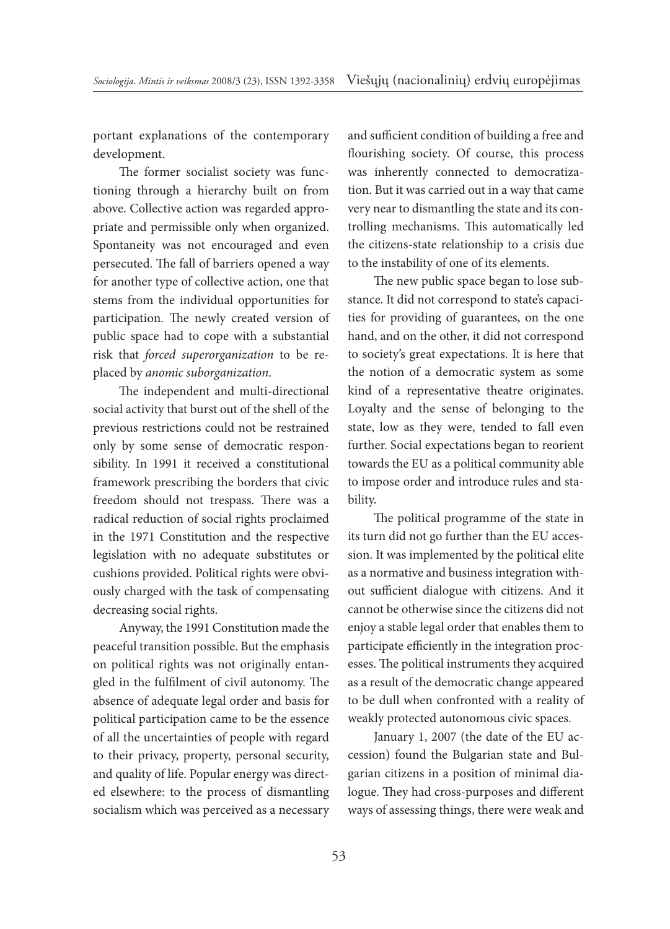portant explanations of the contemporary development.

The former socialist society was functioning through a hierarchy built on from above. Collective action was regarded appropriate and permissible only when organized. Spontaneity was not encouraged and even persecuted. The fall of barriers opened a way for another type of collective action, one that stems from the individual opportunities for participation. The newly created version of public space had to cope with a substantial risk that *forced superorganization* to be replaced by *anomic suborganization*.

The independent and multi-directional social activity that burst out of the shell of the previous restrictions could not be restrained only by some sense of democratic responsibility. In 1991 it received a constitutional framework prescribing the borders that civic freedom should not trespass. There was a radical reduction of social rights proclaimed in the 1971 Constitution and the respective legislation with no adequate substitutes or cushions provided. Political rights were obviously charged with the task of compensating decreasing social rights.

Anyway, the 1991 Constitution made the peaceful transition possible. But the emphasis on political rights was not originally entangled in the fulfilment of civil autonomy. The absence of adequate legal order and basis for political participation came to be the essence of all the uncertainties of people with regard to their privacy, property, personal security, and quality of life. Popular energy was directed elsewhere: to the process of dismantling socialism which was perceived as a necessary and sufficient condition of building a free and flourishing society. Of course, this process was inherently connected to democratization. But it was carried out in a way that came very near to dismantling the state and its controlling mechanisms. This automatically led the citizens-state relationship to a crisis due to the instability of one of its elements.

The new public space began to lose substance. It did not correspond to state's capacities for providing of guarantees, on the one hand, and on the other, it did not correspond to society's great expectations. It is here that the notion of a democratic system as some kind of a representative theatre originates. Loyalty and the sense of belonging to the state, low as they were, tended to fall even further. Social expectations began to reorient towards the EU as a political community able to impose order and introduce rules and stability.

The political programme of the state in its turn did not go further than the EU accession. It was implemented by the political elite as a normative and business integration without sufficient dialogue with citizens. And it cannot be otherwise since the citizens did not enjoy a stable legal order that enables them to participate efficiently in the integration processes. The political instruments they acquired as a result of the democratic change appeared to be dull when confronted with a reality of weakly protected autonomous civic spaces.

January 1, 2007 (the date of the EU accession) found the Bulgarian state and Bulgarian citizens in a position of minimal dialogue. They had cross-purposes and different ways of assessing things, there were weak and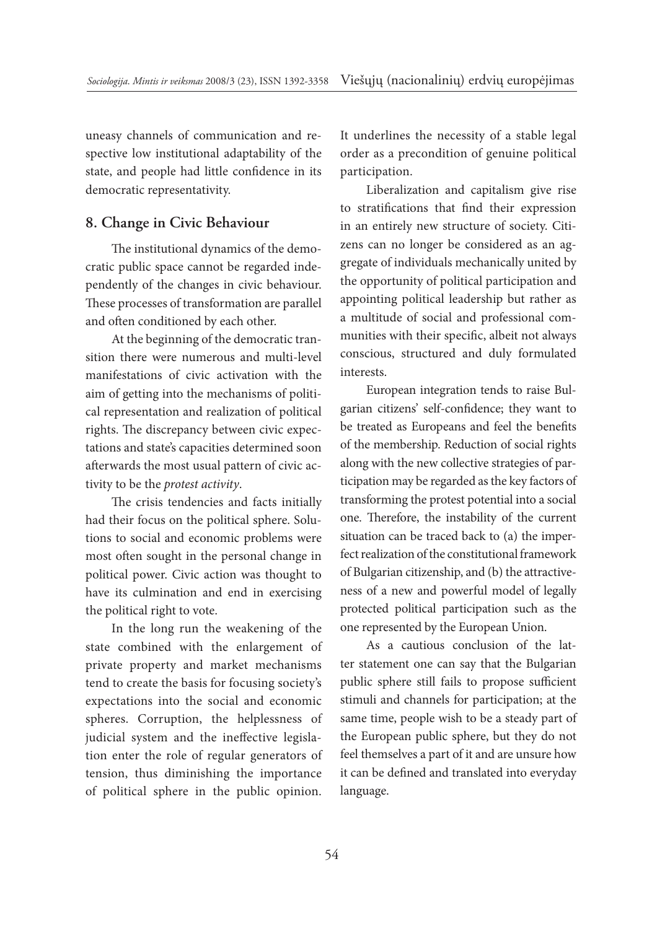uneasy channels of communication and respective low institutional adaptability of the state, and people had little confidence in its democratic representativity.

### **8. Change in Civic Behaviour**

The institutional dynamics of the democratic public space cannot be regarded independently of the changes in civic behaviour. These processes of transformation are parallel and often conditioned by each other.

At the beginning of the democratic transition there were numerous and multi-level manifestations of civic activation with the aim of getting into the mechanisms of political representation and realization of political rights. The discrepancy between civic expectations and state's capacities determined soon afterwards the most usual pattern of civic activity to be the *protest activity*.

The crisis tendencies and facts initially had their focus on the political sphere. Solutions to social and economic problems were most often sought in the personal change in political power. Civic action was thought to have its culmination and end in exercising the political right to vote.

In the long run the weakening of the state combined with the enlargement of private property and market mechanisms tend to create the basis for focusing society's expectations into the social and economic spheres. Corruption, the helplessness of judicial system and the ineffective legislation enter the role of regular generators of tension, thus diminishing the importance of political sphere in the public opinion.

It underlines the necessity of a stable legal order as a precondition of genuine political participation.

Liberalization and capitalism give rise to stratifications that find their expression in an entirely new structure of society. Citizens can no longer be considered as an aggregate of individuals mechanically united by the opportunity of political participation and appointing political leadership but rather as a multitude of social and professional communities with their specific, albeit not always conscious, structured and duly formulated interests.

European integration tends to raise Bulgarian citizens' self-confidence; they want to be treated as Europeans and feel the benefits of the membership. Reduction of social rights along with the new collective strategies of participation may be regarded as the key factors of transforming the protest potential into a social one. Therefore, the instability of the current situation can be traced back to (a) the imperfect realization of the constitutional framework of Bulgarian citizenship, and (b) the attractiveness of a new and powerful model of legally protected political participation such as the one represented by the European Union.

As a cautious conclusion of the latter statement one can say that the Bulgarian public sphere still fails to propose sufficient stimuli and channels for participation; at the same time, people wish to be a steady part of the European public sphere, but they do not feel themselves a part of it and are unsure how it can be defined and translated into everyday language.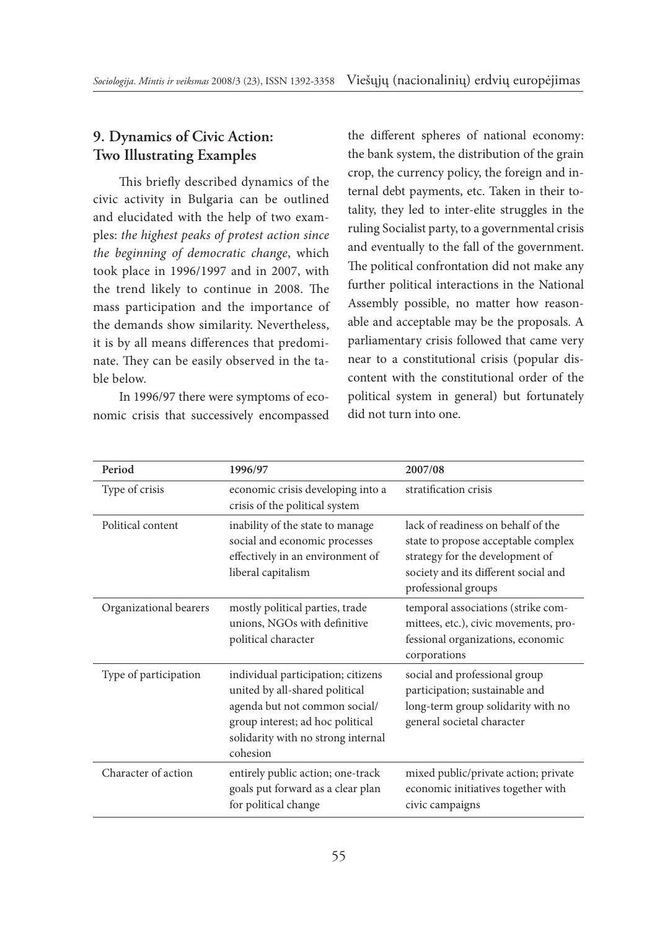# **9. Dynamics of Civic Action: Two Illustrating Examples**

This briefly described dynamics of the civic activity in Bulgaria can be outlined and elucidated with the help of two examples: *the highest peaks of protest action since the beginning of democratic change*, which took place in 1996/1997 and in 2007, with the trend likely to continue in 2008. The mass participation and the importance of the demands show similarity. Nevertheless, it is by all means differences that predominate. They can be easily observed in the table below.

In 1996/97 there were symptoms of economic crisis that successively encompassed the different spheres of national economy: the bank system, the distribution of the grain crop, the currency policy, the foreign and internal debt payments, etc. Taken in their totality, they led to inter-elite struggles in the ruling Socialist party, to a governmental crisis and eventually to the fall of the government. The political confrontation did not make any further political interactions in the National Assembly possible, no matter how reasonable and acceptable may be the proposals. A parliamentary crisis followed that came very near to a constitutional crisis (popular discontent with the constitutional order of the political system in general) but fortunately did not turn into one.

| Period                 | 1996/97                                                                                                                                                                                     | 2007/08                                                                                                                                                                     |
|------------------------|---------------------------------------------------------------------------------------------------------------------------------------------------------------------------------------------|-----------------------------------------------------------------------------------------------------------------------------------------------------------------------------|
| Type of crisis         | economic crisis developing into a<br>crisis of the political system                                                                                                                         | stratification crisis                                                                                                                                                       |
| Political content      | inability of the state to manage<br>social and economic processes<br>effectively in an environment of<br>liberal capitalism                                                                 | lack of readiness on behalf of the<br>state to propose acceptable complex<br>strategy for the development of<br>society and its different social and<br>professional groups |
| Organizational bearers | mostly political parties, trade<br>unions, NGOs with definitive<br>political character                                                                                                      | temporal associations (strike com-<br>mittees, etc.), civic movements, pro-<br>fessional organizations, economic<br>corporations                                            |
| Type of participation  | individual participation; citizens<br>united by all-shared political<br>agenda but not common social/<br>group interest; ad hoc political<br>solidarity with no strong internal<br>cohesion | social and professional group<br>participation; sustainable and<br>long-term group solidarity with no<br>general societal character                                         |
| Character of action    | entirely public action; one-track<br>goals put forward as a clear plan<br>for political change                                                                                              | mixed public/private action; private<br>economic initiatives together with<br>civic campaigns                                                                               |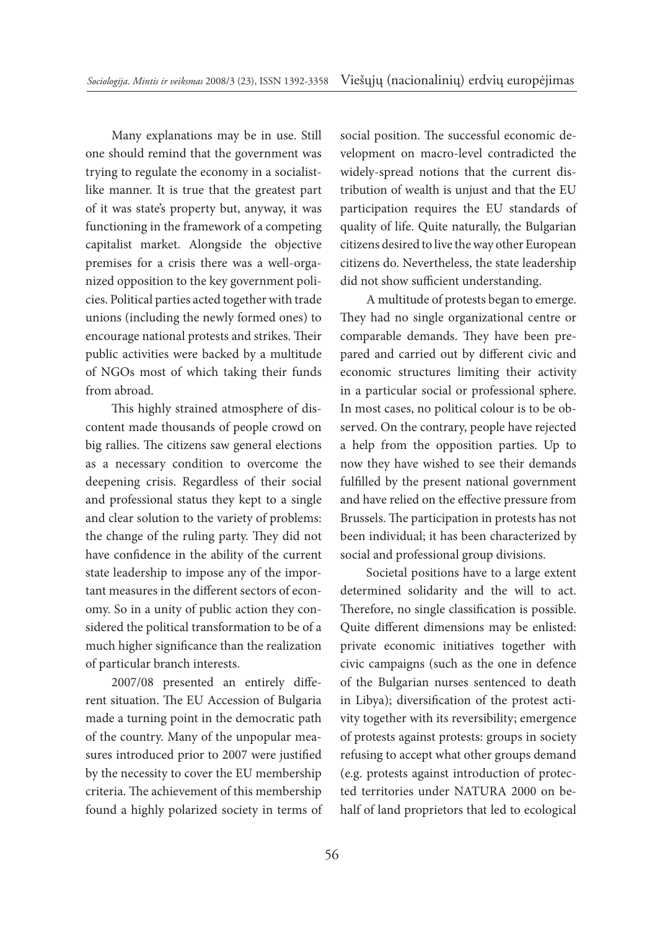Many explanations may be in use. Still one should remind that the government was trying to regulate the economy in a socialistlike manner. It is true that the greatest part of it was state's property but, anyway, it was functioning in the framework of a competing capitalist market. Alongside the objective premises for a crisis there was a well-organized opposition to the key government policies. Political parties acted together with trade unions (including the newly formed ones) to encourage national protests and strikes. Their public activities were backed by a multitude of NGOs most of which taking their funds from abroad.

This highly strained atmosphere of discontent made thousands of people crowd on big rallies. The citizens saw general elections as a necessary condition to overcome the deepening crisis. Regardless of their social and professional status they kept to a single and clear solution to the variety of problems: the change of the ruling party. They did not have confidence in the ability of the current state leadership to impose any of the important measures in the different sectors of economy. So in a unity of public action they considered the political transformation to be of a much higher significance than the realization of particular branch interests.

2007/08 presented an entirely different situation. The EU Accession of Bulgaria made a turning point in the democratic path of the country. Many of the unpopular measures introduced prior to 2007 were justified by the necessity to cover the EU membership criteria. The achievement of this membership found a highly polarized society in terms of social position. The successful economic development on macro-level contradicted the widely-spread notions that the current distribution of wealth is unjust and that the EU participation requires the EU standards of quality of life. Quite naturally, the Bulgarian citizens desired to live the way other European citizens do. Nevertheless, the state leadership did not show sufficient understanding.

A multitude of protests began to emerge. They had no single organizational centre or comparable demands. They have been prepared and carried out by different civic and economic structures limiting their activity in a particular social or professional sphere. In most cases, no political colour is to be observed. On the contrary, people have rejected a help from the opposition parties. Up to now they have wished to see their demands fulfilled by the present national government and have relied on the effective pressure from Brussels. The participation in protests has not been individual; it has been characterized by social and professional group divisions.

Societal positions have to a large extent determined solidarity and the will to act. Therefore, no single classification is possible. Quite different dimensions may be enlisted: private economic initiatives together with civic campaigns (such as the one in defence of the Bulgarian nurses sentenced to death in Libya); diversification of the protest activity together with its reversibility; emergence of protests against protests: groups in society refusing to accept what other groups demand (e.g. protests against introduction of protected territories under NATURA 2000 on behalf of land proprietors that led to ecological